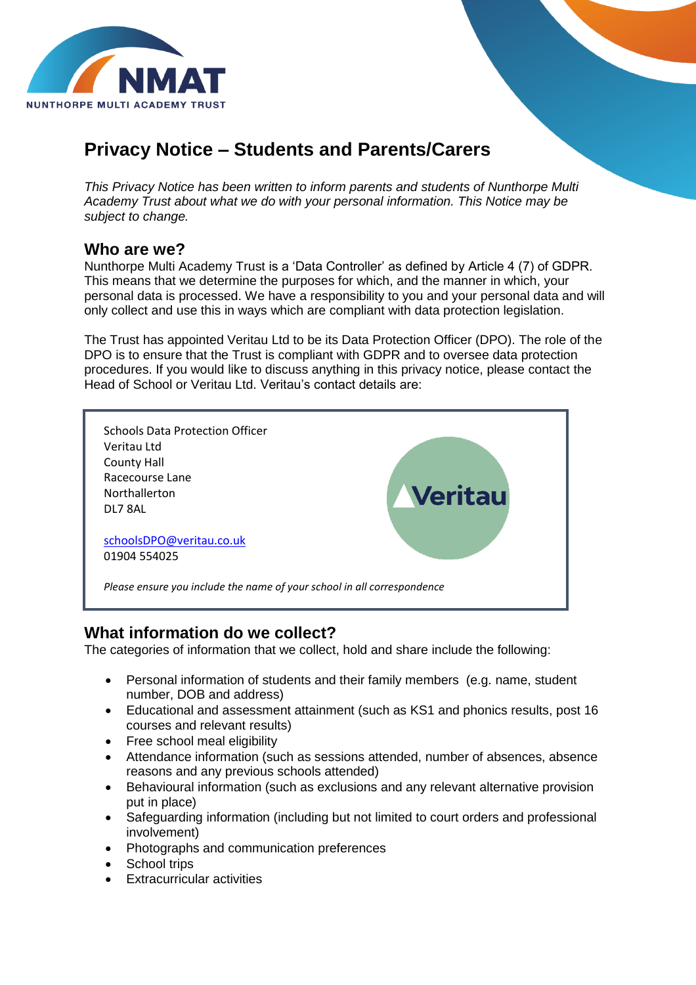

# **Privacy Notice – Students and Parents/Carers**

*This Privacy Notice has been written to inform parents and students of Nunthorpe Multi Academy Trust about what we do with your personal information. This Notice may be subject to change.*

### **Who are we?**

Nunthorpe Multi Academy Trust is a 'Data Controller' as defined by Article 4 (7) of GDPR. This means that we determine the purposes for which, and the manner in which, your personal data is processed. We have a responsibility to you and your personal data and will only collect and use this in ways which are compliant with data protection legislation.

The Trust has appointed Veritau Ltd to be its Data Protection Officer (DPO). The role of the DPO is to ensure that the Trust is compliant with GDPR and to oversee data protection procedures. If you would like to discuss anything in this privacy notice, please contact the Head of School or Veritau Ltd. Veritau's contact details are:



### **What information do we collect?**

The categories of information that we collect, hold and share include the following:

- Personal information of students and their family members (e.g. name, student number, DOB and address)
- Educational and assessment attainment (such as KS1 and phonics results, post 16 courses and relevant results)
- Free school meal eligibility
- Attendance information (such as sessions attended, number of absences, absence reasons and any previous schools attended)
- Behavioural information (such as exclusions and any relevant alternative provision put in place)
- Safeguarding information (including but not limited to court orders and professional involvement)
- Photographs and communication preferences
- School trips
- Extracurricular activities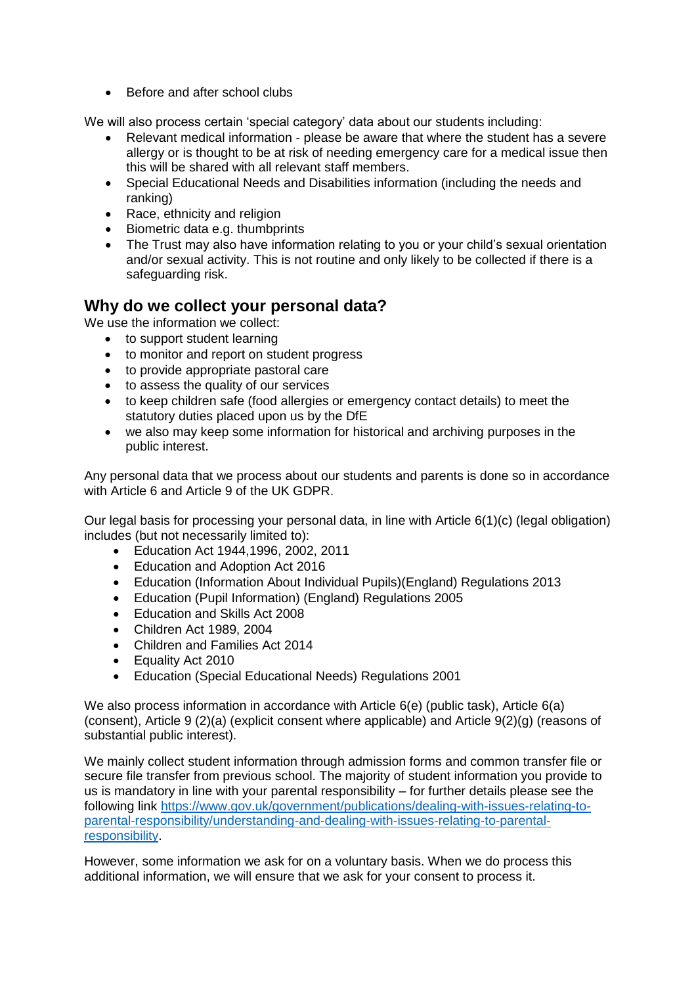• Before and after school clubs

We will also process certain 'special category' data about our students including:

- Relevant medical information please be aware that where the student has a severe allergy or is thought to be at risk of needing emergency care for a medical issue then this will be shared with all relevant staff members.
- Special Educational Needs and Disabilities information (including the needs and ranking)
- Race, ethnicity and religion
- Biometric data e.g. thumbprints
- The Trust may also have information relating to you or your child's sexual orientation and/or sexual activity. This is not routine and only likely to be collected if there is a safeguarding risk.

### **Why do we collect your personal data?**

We use the information we collect:

- to support student learning
- to monitor and report on student progress
- to provide appropriate pastoral care
- to assess the quality of our services
- to keep children safe (food allergies or emergency contact details) to meet the statutory duties placed upon us by the DfE
- we also may keep some information for historical and archiving purposes in the public interest.

Any personal data that we process about our students and parents is done so in accordance with Article 6 and Article 9 of the UK GDPR.

Our legal basis for processing your personal data, in line with Article 6(1)(c) (legal obligation) includes (but not necessarily limited to):

- Education Act 1944,1996, 2002, 2011
- Education and Adoption Act 2016
- Education (Information About Individual Pupils)(England) Regulations 2013
- Education (Pupil Information) (England) Regulations 2005
- Education and Skills Act 2008
- Children Act 1989, 2004
- Children and Families Act 2014
- Equality Act 2010
- Education (Special Educational Needs) Regulations 2001

We also process information in accordance with Article 6(e) (public task), Article 6(a) (consent), Article 9 (2)(a) (explicit consent where applicable) and Article 9(2)(g) (reasons of substantial public interest).

We mainly collect student information through admission forms and common transfer file or secure file transfer from previous school. The majority of student information you provide to us is mandatory in line with your parental responsibility – for further details please see the following link [https://www.gov.uk/government/publications/dealing-with-issues-relating-to](https://www.gov.uk/government/publications/dealing-with-issues-relating-to-parental-responsibility/understanding-and-dealing-with-issues-relating-to-parental-responsibility)[parental-responsibility/understanding-and-dealing-with-issues-relating-to-parental](https://www.gov.uk/government/publications/dealing-with-issues-relating-to-parental-responsibility/understanding-and-dealing-with-issues-relating-to-parental-responsibility)[responsibility.](https://www.gov.uk/government/publications/dealing-with-issues-relating-to-parental-responsibility/understanding-and-dealing-with-issues-relating-to-parental-responsibility)

However, some information we ask for on a voluntary basis. When we do process this additional information, we will ensure that we ask for your consent to process it.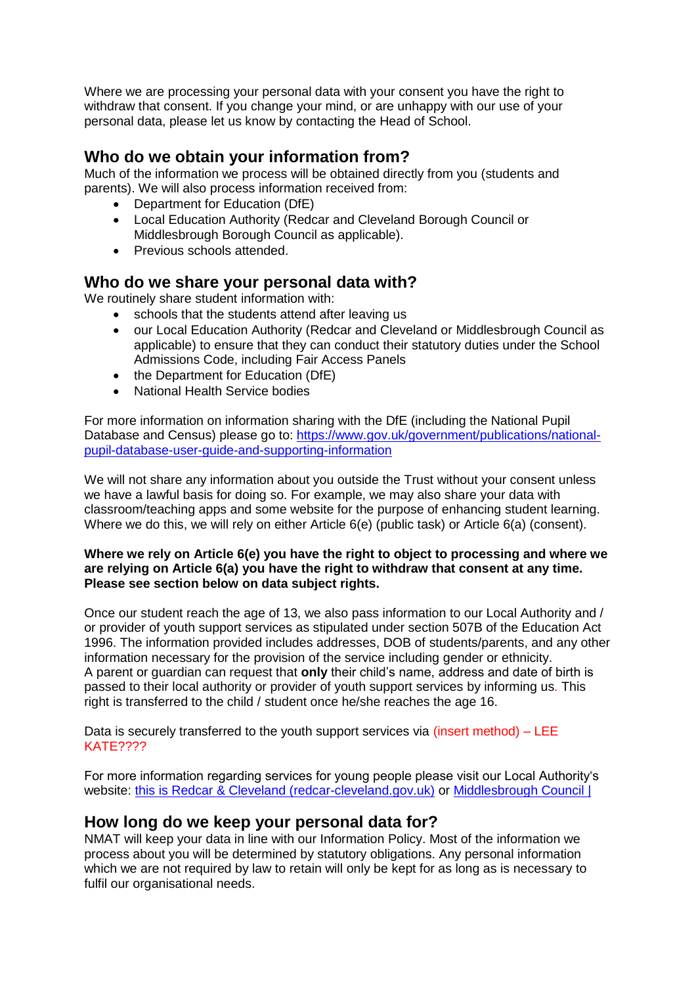Where we are processing your personal data with your consent you have the right to withdraw that consent. If you change your mind, or are unhappy with our use of your personal data, please let us know by contacting the Head of School.

### **Who do we obtain your information from?**

Much of the information we process will be obtained directly from you (students and parents). We will also process information received from:

- Department for Education (DfE)
- Local Education Authority (Redcar and Cleveland Borough Council or Middlesbrough Borough Council as applicable).
- Previous schools attended.

### **Who do we share your personal data with?**

We routinely share student information with:

- schools that the students attend after leaving us
- our Local Education Authority (Redcar and Cleveland or Middlesbrough Council as applicable) to ensure that they can conduct their statutory duties under the School Admissions Code, including Fair Access Panels
- the Department for Education (DfE)
- National Health Service bodies

For more information on information sharing with the DfE (including the National Pupil Database and Census) please go to: [https://www.gov.uk/government/publications/national](https://www.gov.uk/government/publications/national-pupil-database-user-guide-and-supporting-information)[pupil-database-user-guide-and-supporting-information](https://www.gov.uk/government/publications/national-pupil-database-user-guide-and-supporting-information)

We will not share any information about you outside the Trust without your consent unless we have a lawful basis for doing so. For example, we may also share your data with classroom/teaching apps and some website for the purpose of enhancing student learning. Where we do this, we will rely on either Article 6(e) (public task) or Article 6(a) (consent).

#### **Where we rely on Article 6(e) you have the right to object to processing and where we are relying on Article 6(a) you have the right to withdraw that consent at any time. Please see section below on data subject rights.**

Once our student reach the age of 13, we also pass information to our Local Authority and / or provider of youth support services as stipulated under section 507B of the Education Act 1996. The information provided includes addresses, DOB of students/parents, and any other information necessary for the provision of the service including gender or ethnicity. A parent or guardian can request that **only** their child's name, address and date of birth is passed to their local authority or provider of youth support services by informing us. This right is transferred to the child / student once he/she reaches the age 16.

Data is securely transferred to the youth support services via (insert method)  $-$  LEE KATE????

For more information regarding services for young people please visit our Local Authority's website: [this is Redcar & Cleveland \(redcar-cleveland.gov.uk\)](https://www.redcar-cleveland.gov.uk/Pages/default.aspx) or [Middlesbrough Council |](https://www.middlesbrough.gov.uk/)

### **How long do we keep your personal data for?**

NMAT will keep your data in line with our Information Policy. Most of the information we process about you will be determined by statutory obligations. Any personal information which we are not required by law to retain will only be kept for as long as is necessary to fulfil our organisational needs.